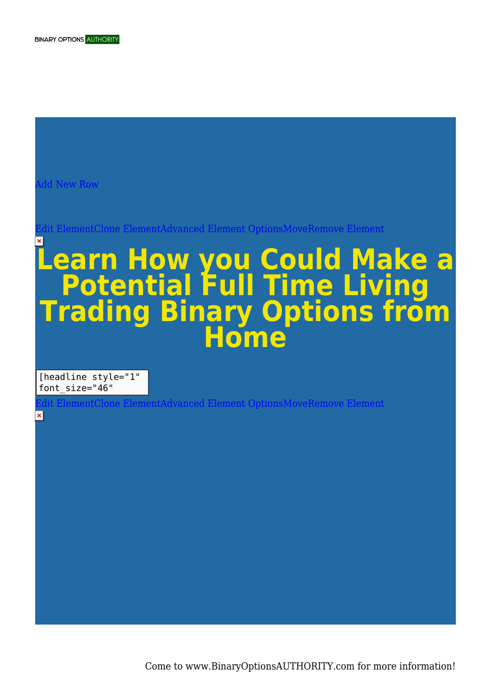[Add New Row](#page--1-0)

[Edit ElementClone ElementAdvanced Element OptionsMoveRemove Element](#page--1-0)

## **Learn How you Could Make a Potential Full Time Living Trading Binary Options from Home**

[headline style="1" font size="46"

×

 $f$ nent OptionsMoveRemove Element

Come to www.BinaryOptionsAUTHORITY.com for more information!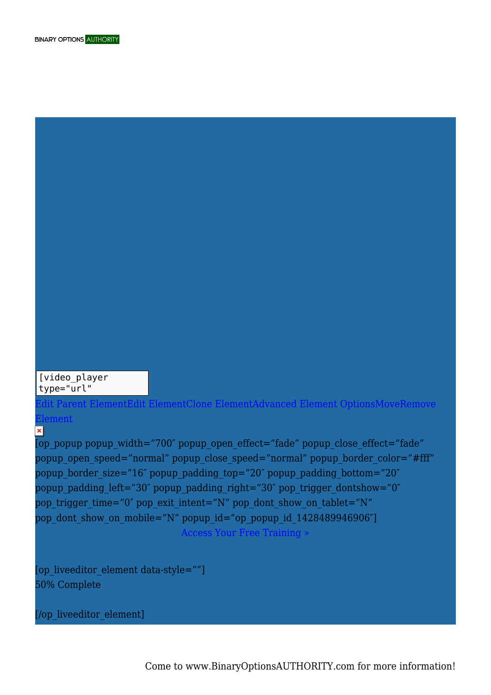[/op\_liveeditor\_element]

50% Complete

[op\_liveeditor\_element data-style=""]

 $\overline{\mathbf{x}}$ [op\_popup popup\_width="700" popup\_open\_effect="fade" popup\_close\_effect="fade" popup open speed="normal" popup close speed="normal" popup border color="#fff" popup border size="16" popup padding top="20" popup padding bottom="20" popup\_padding\_left="30" popup\_padding\_right="30" pop\_trigger\_dontshow="0" pop\_trigger\_time="0" pop\_exit\_intent="N" pop\_dont\_show\_on\_tablet="N" pop\_dont\_show\_on\_mobile="N" popup\_id="op\_popup\_id\_1428489946906"] Access Your Free Training »

 $\mathbf{P}$ ment $\mathbf{F}$ dit Element $C$ lone ElementAdvanced Element OptionsMoveRemove [Element](#page--1-0)

[video\_player

type="url"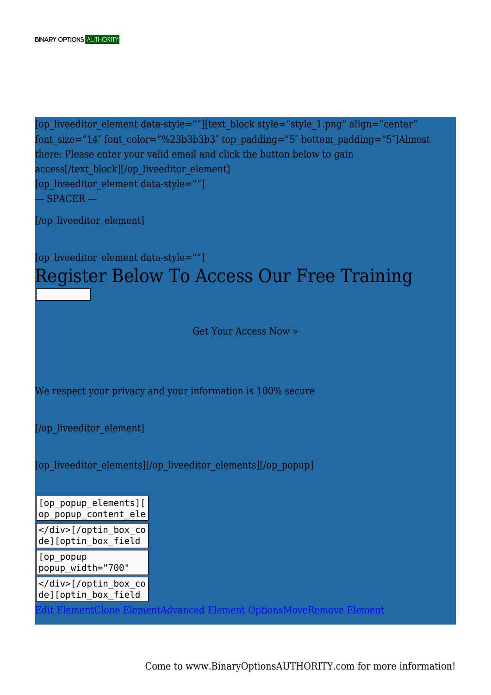```
[op_liveeditor_element data-style=""][text_block style="style_1.png" align="center"
font size="14" font color="%23b3b3b3" top padding="5" bottom padding="5"]Almost
there: Please enter your valid email and click the button below to gain
access[/text_block][/op_liveeditor_element]
[op_liveeditor_element data-style=""]
- SPACER -
```
[/op\_liveeditor\_element]

## [op\_liveeditor\_element data-style=""] Register Below To Access Our Free Training

Get Your Access Now »

We respect your privacy and your information is 100% secure

[/op\_liveeditor\_element]

[op\_liveeditor\_elements][/op\_liveeditor\_elements][/op\_popup]

[op\_popup\_elements][ op\_popup\_content\_ele </div>[/optin box co de][optin\_box\_field

[op popup popup\_width="700"

popup\_open\_effect="f </div>[/optin\_box\_co de][optin\_box\_field

[Edit ElementClone ElementAdvanced Element OptionsMoveRemove Element](#page--1-0)

Come to www.BinaryOptionsAUTHORITY.com for more information!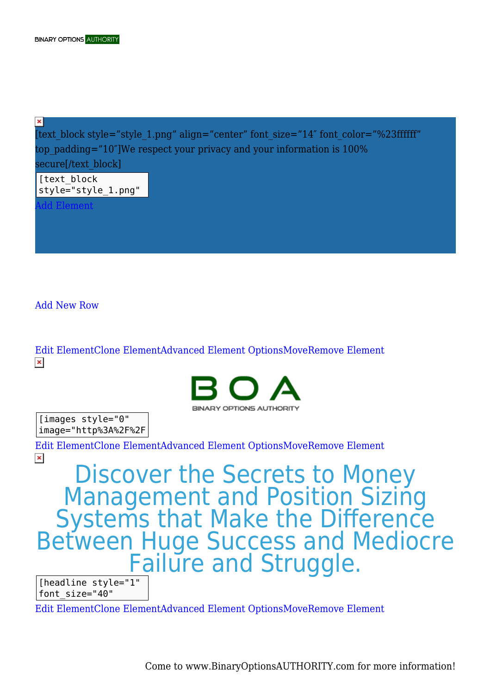$\pmb{\times}$ [text block style="style 1.png" align="center" font size="14" font color="%23ffffff" top  $padding="10"$ We respect your privacy and your information is  $100\%$ secure[/text\_block] [text\_block

style="style\_1.png"

[Add Element](#page--1-0)

[Add New Row](#page--1-0)

[Edit ElementClone ElementAdvanced Element OptionsMoveRemove Element](#page--1-0)  $\pmb{\times}$ 



[images style="0" image="http%3A%2F%2F

[Edit ElementClone ElementAdvanced Element OptionsMoveRemove Element](#page--1-0)  $\pmb{\times}$ 

Discover the Secrets to Money Management and Position Sizing Systems that Make the Difference Between Huge Success and Mediocre **Failure and Struggle.** 

[headline style="1" font size="40"

[Edit ElementClone ElementAdvanced Element OptionsMoveRemove Element](#page--1-0)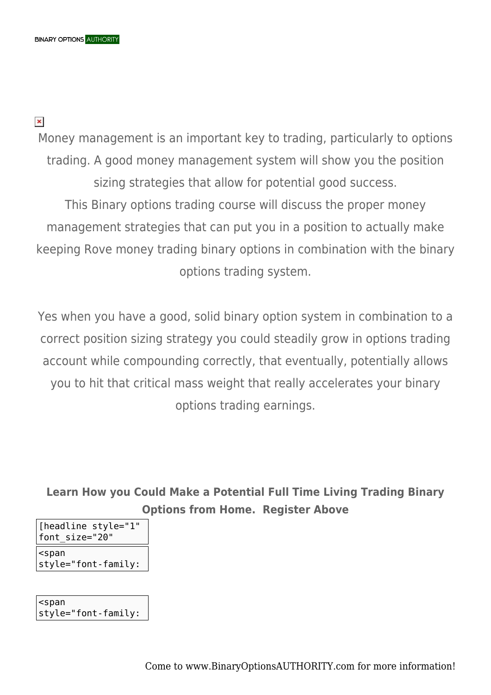$\pmb{\times}$ 

Money management is an important key to trading, particularly to options trading. A good money management system will show you the position sizing strategies that allow for potential good success. This Binary options trading course will discuss the proper money management strategies that can put you in a position to actually make keeping Rove money trading binary options in combination with the binary options trading system.

Yes when you have a good, solid binary option system in combination to a correct position sizing strategy you could steadily grow in options trading account while compounding correctly, that eventually, potentially allows you to hit that critical mass weight that really accelerates your binary options trading earnings.

**Learn How you Could Make a Potential Full Time Living Trading Binary Options from Home. Register Above**

| [headline style="1"   |
|-----------------------|
| font size="20"        |
| <span< td=""></span<> |

style="font-family:

<span style="font-family: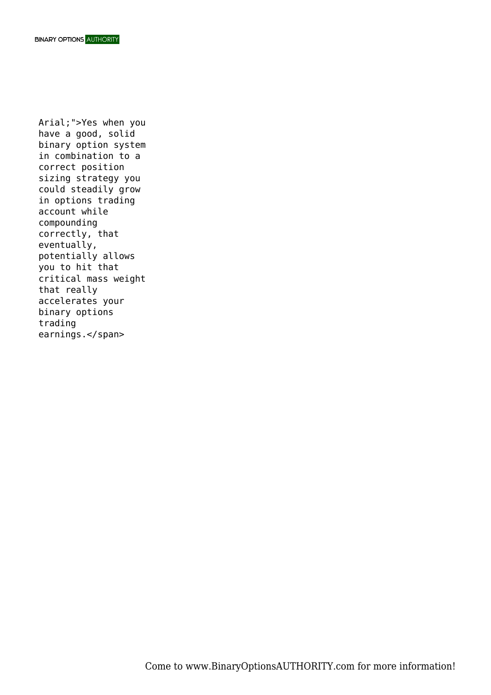Arial;">Yes when you have a good, solid binary option system in combination to a correct position sizing strategy you could steadily grow in options trading account while compounding correctly, that eventually, potentially allows you to hit that critical mass weight that really accelerates your binary options trading earnings.</span>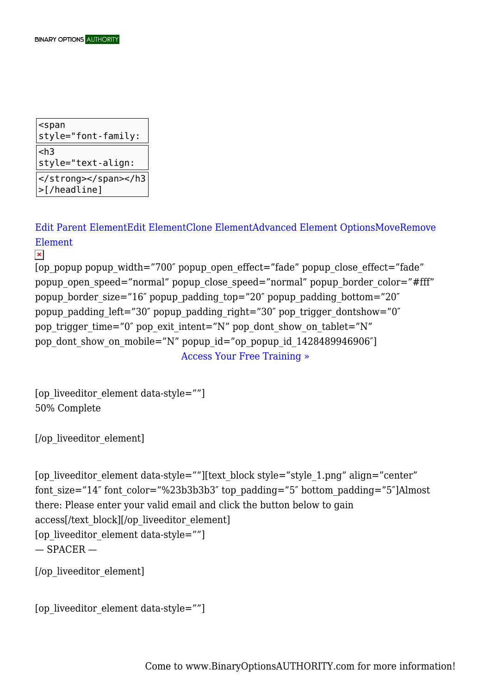| $<$ span<br>$ $ style="font-family: |
|-------------------------------------|
| $ <$ h3<br>$ $ style="text-align:   |
| >[/headline]                        |

[Edit Parent ElementEdit ElementClone ElementAdvanced Element OptionsMoveRemove](#page--1-0) [Element](#page--1-0)

 $\pmb{\times}$ 

[op\_popup popup\_width="700″ popup\_open\_effect="fade" popup\_close\_effect="fade" popup open speed="normal" popup close speed="normal" popup border color="#fff" popup border size="16" popup padding top="20" popup padding bottom="20" popup padding left="30" popup padding right="30" pop trigger dontshow="0" pop\_trigger\_time="0" pop\_exit\_intent="N" pop\_dont\_show\_on\_tablet="N" pop\_dont\_show\_on\_mobile="N" popup\_id="op\_popup\_id\_1428489946906"]

Access Your Free Training »

```
[op_liveeditor_element data-style=""]
50% Complete
```
[/op\_liveeditor\_element]

```
[op_liveeditor_element data-style=""][text_block style="style_1.png" align="center"
font size="14" font color="%23b3b3b3" top padding="5" bottom padding="5"]Almost
there: Please enter your valid email and click the button below to gain
access[/text_block][/op_liveeditor_element]
[op_liveeditor_element data-style=""]
- SPACER -
```

```
[/op_liveeditor_element]
```

```
[op_liveeditor_element data-style=""]
```